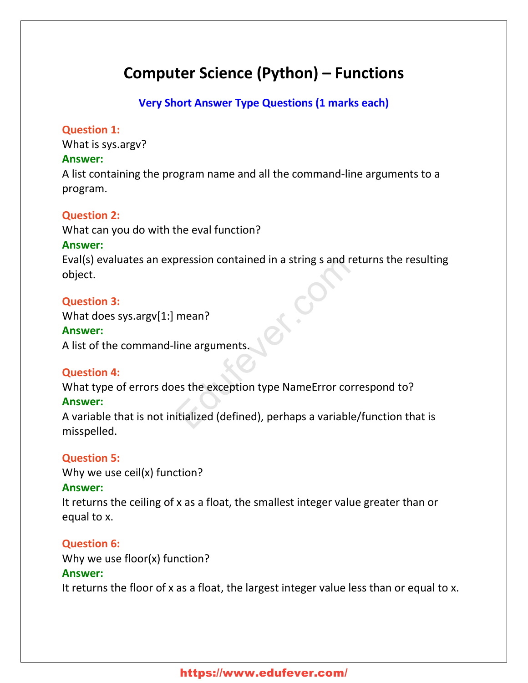# **Computer Science (Python) – Functions**

## **Very Short Answer Type Questions (1 marks each)**

#### **Question 1:**

What is sys.argv?

#### **Answer:**

A list containing the program name and all the command-line arguments to a program.

## **Question 2:**

What can you do with the eval function?

#### **Answer:**

Eval(s) evaluates an expression contained in a string s and returns the resulting object. Pression contained in a string s and ret<br>mean?<br>line arguments.<br>es the exception type NameError correctidalized (defined), perhaps a variable/

## **Question 3:**

What does sys.argv[1:] mean?

#### **Answer:**

A list of the command-line arguments.

## **Question 4:**

What type of errors does the exception type NameError correspond to?

## **Answer:**

A variable that is not initialized (defined), perhaps a variable/function that is misspelled.

## **Question 5:**

Why we use ceil(x) function?

## **Answer:**

It returns the ceiling of x as a float, the smallest integer value greater than or equal to x.

## **Question 6:**

Why we use floor(x) function?

## **Answer:**

It returns the floor of x as a float, the largest integer value less than or equal to x.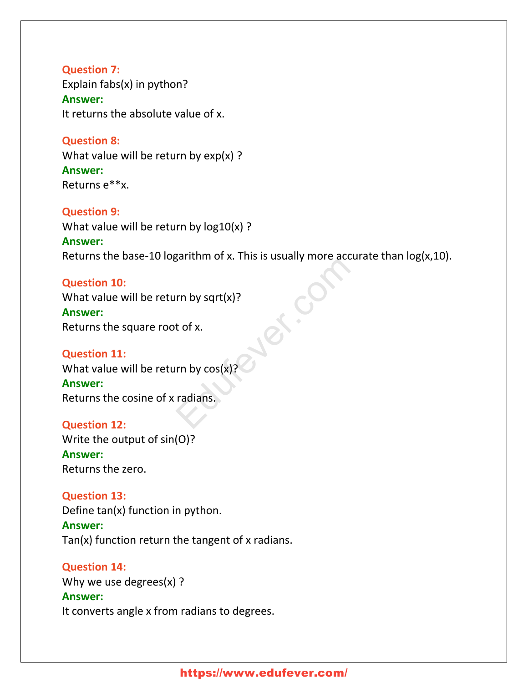**Question 7:** Explain fabs(x) in python? **Answer:** It returns the absolute value of x.

**Question 8:** What value will be return by  $exp(x)$  ? **Answer:** Returns e\*\*x.

**Question 9:** What value will be return by log10(x) ? **Answer:** Returns the base-10 logarithm of x. This is usually more accurate than  $log(x,10)$ .

**Question 10:** What value will be return by sqrt(x)? **Answer:** Returns the square root of x.

**Question 11:** What value will be return by cos(x)? **Answer:** Returns the cosine of x radians. Example the set of x.<br>
In by sqrt(x)?<br>
The set of x.<br>
In by cos(x)?<br>
Tradians.

**Question 12:** Write the output of sin(O)? **Answer:** Returns the zero.

**Question 13:** Define tan(x) function in python. **Answer:** Tan(x) function return the tangent of x radians.

**Question 14:** Why we use degrees(x) ? **Answer:** It converts angle x from radians to degrees.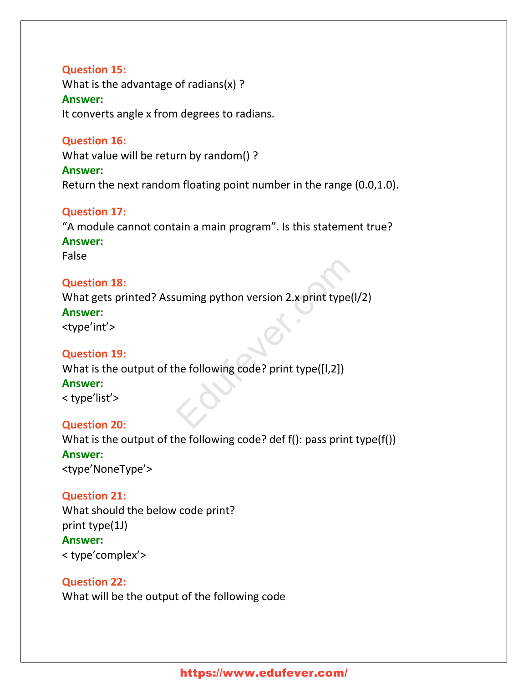#### **Question 15:**

What is the advantage of radians(x) ? **Answer:** It converts angle x from degrees to radians.

#### **Question 16:**

What value will be return by random() ?

#### **Answer:**

Return the next random floating point number in the range (0.0,1.0).

## **Question 17:**

"A module cannot contain a main program". Is this statement true?

## **Answer:**

False

#### **Question 18:**

What gets printed? Assuming python version 2.x print type(l/2) uming python version 2.x print type(l/<br>he following code? print type([l,2])

#### **Answer:**

<type'int'>

## **Question 19:**

What is the output of the following code? print type([l,2])

#### **Answer:**

< type'list'>

## **Question 20:**

What is the output of the following code? def f(): pass print type(f()) **Answer:** <type'NoneType'>

#### **Question 21:**

What should the below code print? print type(1J) **Answer:** < type'complex'>

## **Question 22:**

What will be the output of the following code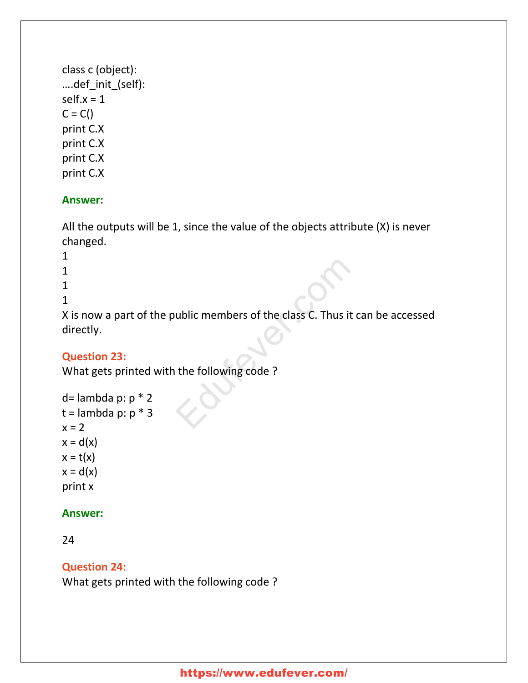```
class c (object):
….def_init_(self):
self.x = 1C = C()print C.X
print C.X
print C.X
print C.X
```
#### **Answer:**

All the outputs will be 1, since the value of the objects attribute (X) is never changed.

- 1 1 1
- 
- 1

X is now a part of the public members of the class C. Thus it can be accessed directly. ublic members of the class C. Thus it can<br>the following code ?

## **Question 23:**

What gets printed with the following code ?

```
d= lambda p: p * 2t =lambda p: p * 3x = 2x = d(x)x = t(x)x = d(x)print x
```
#### **Answer:**

24

**Question 24:**

What gets printed with the following code ?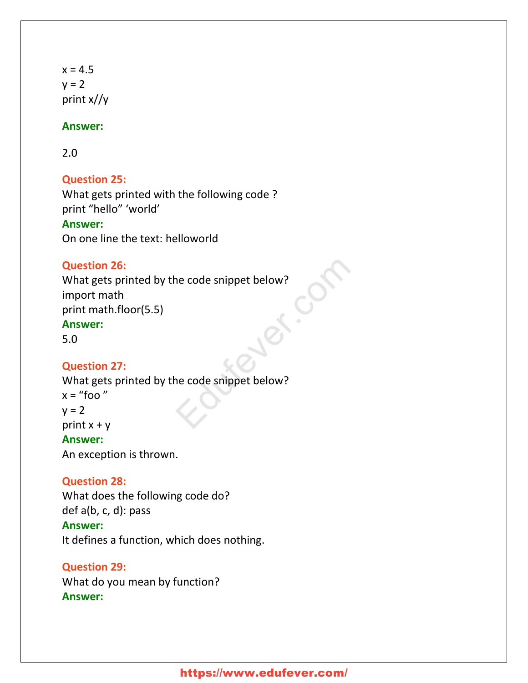$x = 4.5$  $y = 2$ print x//y

#### **Answer:**

2.0

#### **Question 25:**

What gets printed with the following code ? print "hello" 'world'

#### **Answer:**

On one line the text: helloworld

#### **Question 26:**

What gets printed by the code snippet below? import math print math.floor(5.5) **Answer:** The code snippet below?

5.0

#### **Question 27:**

What gets printed by the code snippet below?  $x =$  "foo"  $y = 2$ print  $x + y$ **Answer:** An exception is thrown.

#### **Question 28:**

What does the following code do?

## def a(b, c, d): pass

**Answer:**

It defines a function, which does nothing.

**Question 29:** What do you mean by function? **Answer:**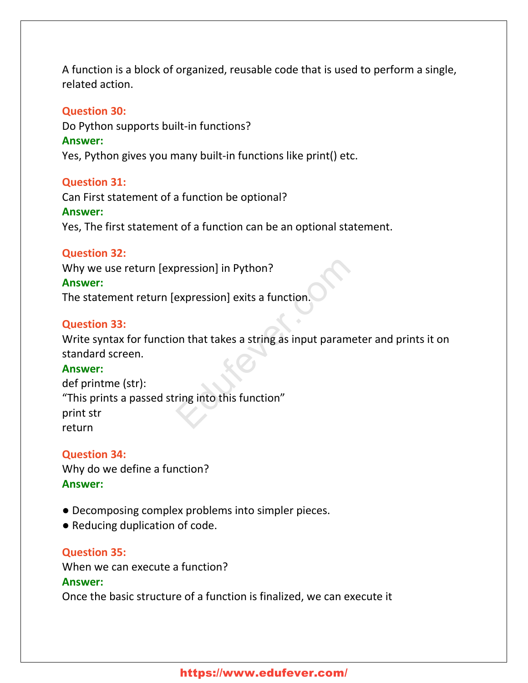A function is a block of organized, reusable code that is used to perform a single, related action.

#### **Question 30:**

Do Python supports built-in functions?

#### **Answer:**

Yes, Python gives you many built-in functions like print() etc.

#### **Question 31:**

Can First statement of a function be optional? **Answer:** Yes, The first statement of a function can be an optional statement.

#### **Question 32:**

Why we use return [expression] in Python?

#### **Answer:**

The statement return [expression] exits a function.

#### **Question 33:**

Write syntax for function that takes a string as input parameter and prints it on standard screen.

#### **Answer:**

def printme (str): "This prints a passed string into this function" print str return pression] in Python?<br>
Expression] exits a function.<br>
Unit that takes a string as input paramet<br>
pring into this function"

## **Question 34:**

Why do we define a function? **Answer:**

- Decomposing complex problems into simpler pieces.
- Reducing duplication of code.

## **Question 35:**

When we can execute a function?

#### **Answer:**

Once the basic structure of a function is finalized, we can execute it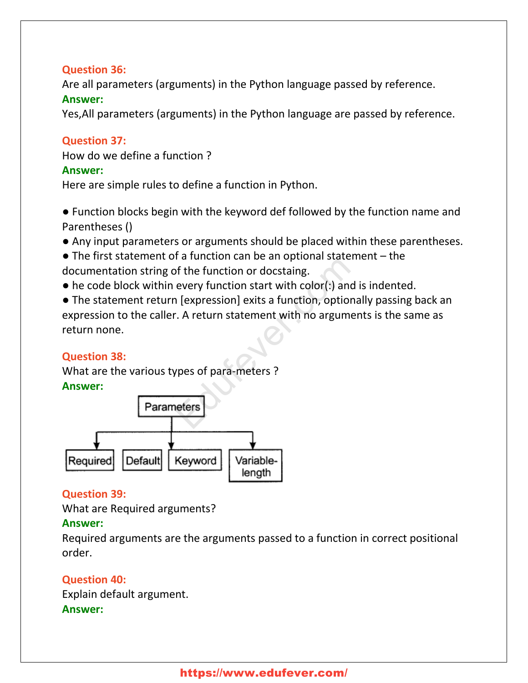## **Question 36:**

Are all parameters (arguments) in the Python language passed by reference. **Answer:**

Yes,All parameters (arguments) in the Python language are passed by reference.

## **Question 37:**

How do we define a function ?

#### **Answer:**

Here are simple rules to define a function in Python.

● Function blocks begin with the keyword def followed by the function name and Parentheses ()

- Any input parameters or arguments should be placed within these parentheses.
- $\bullet$  The first statement of a function can be an optional statement  $-$  the documentation string of the function or docstaing.
- $\bullet$  he code block within every function start with color(:) and is indented.

● The statement return [expression] exits a function, optionally passing back an expression to the caller. A return statement with no arguments is the same as return none. The function can be an optional statement<br>of the function or docstaing.<br>The function start with color(:) and is<br>the pression exits a function, optional<br>The set of para-meters and the set of para-meters and the set of para-

#### **Question 38:**

What are the various types of para-meters ? **Answer:**



## **Question 39:**

What are Required arguments?

## **Answer:**

Required arguments are the arguments passed to a function in correct positional order.

## **Question 40:** Explain default argument.

## **Answer:**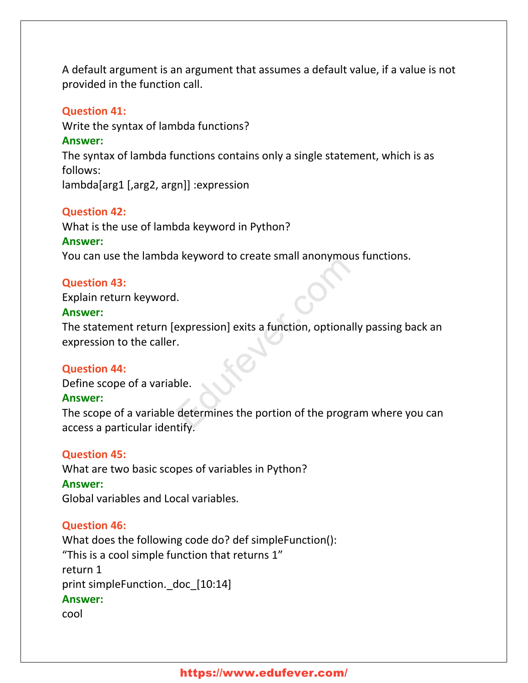A default argument is an argument that assumes a default value, if a value is not provided in the function call.

#### **Question 41:**

Write the syntax of lambda functions?

#### **Answer:**

The syntax of lambda functions contains only a single statement, which is as follows:

lambda[arg1 [,arg2, argn]] :expression

#### **Question 42:**

What is the use of lambda keyword in Python?

#### **Answer:**

You can use the lambda keyword to create small anonymous functions.

#### **Question 43:**

Explain return keyword.

#### **Answer:**

The statement return [expression] exits a function, optionally passing back an expression to the caller. L.<br>
Expression] exits a function, optionally<br>
De.<br>
determines the portion of the programetify

#### **Question 44:**

Define scope of a variable.

#### **Answer:**

The scope of a variable determines the portion of the program where you can access a particular identify.

#### **Question 45:**

What are two basic scopes of variables in Python? **Answer:** Global variables and Local variables.

#### **Question 46:**

What does the following code do? def simpleFunction(): "This is a cool simple function that returns 1" return 1 print simpleFunction. doc [10:14] **Answer:** cool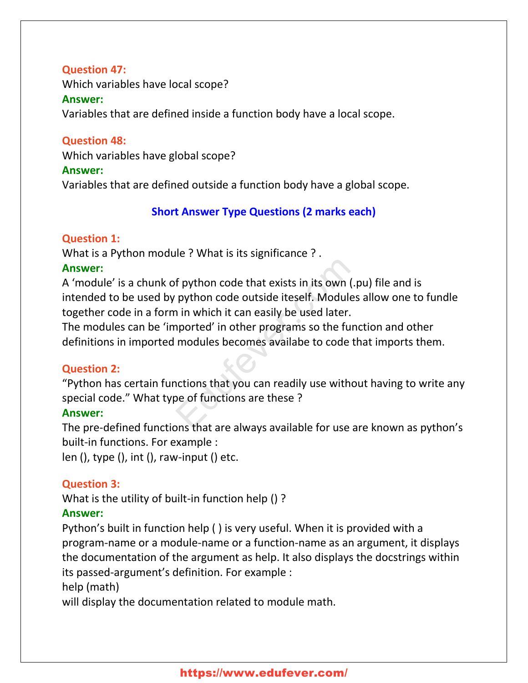#### **Question 47:**

Which variables have local scope?

#### **Answer:**

Variables that are defined inside a function body have a local scope.

#### **Question 48:**

Which variables have global scope?

#### **Answer:**

Variables that are defined outside a function body have a global scope.

## **Short Answer Type Questions (2 marks each)**

## **Question 1:**

What is a Python module ? What is its significance ? .

## **Answer:**

A 'module' is a chunk of python code that exists in its own (.pu) file and is intended to be used by python code outside iteself. Modules allow one to fundle together code in a form in which it can easily be used later. f python code that exists in its own (.p<br>python code outside iteself. Modules<br>i in which it can easily be used later.<br>ported' in other programs so the func<br>modules becomes available to code th<br>notions that you can readily

The modules can be 'imported' in other programs so the function and other definitions in imported modules becomes availabe to code that imports them.

## **Question 2:**

"Python has certain functions that you can readily use without having to write any special code." What type of functions are these ?

## **Answer:**

The pre-defined functions that are always available for use are known as python's built-in functions. For example :

len (), type (), int (), raw-input () etc.

## **Question 3:**

What is the utility of built-in function help () ?

## **Answer:**

Python's built in function help ( ) is very useful. When it is provided with a program-name or a module-name or a function-name as an argument, it displays the documentation of the argument as help. It also displays the docstrings within its passed-argument's definition. For example :

## help (math)

will display the documentation related to module math.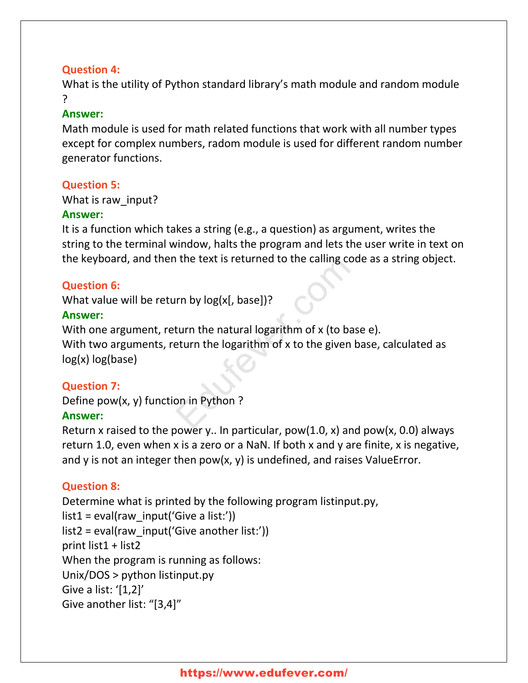## **Question 4:**

What is the utility of Python standard library's math module and random module ?

#### **Answer:**

Math module is used for math related functions that work with all number types except for complex numbers, radom module is used for different random number generator functions.

## **Question 5:**

#### What is raw\_input?

#### **Answer:**

It is a function which takes a string (e.g., a question) as argument, writes the string to the terminal window, halts the program and lets the user write in text on the keyboard, and then the text is returned to the calling code as a string object.

## **Question 6:**

What value will be return by log(x[, base])?

## **Answer:**

With one argument, return the natural logarithm of x (to base e). With two arguments, return the logarithm of x to the given base, calculated as log(x) log(base) If the text is returned to the calling code<br>
If the text is returned to the calling code<br>
If the natural logarithm of x (to base<br>
If the natural logarithm of x to the given based<br>
In the logarithm of x to the given based<br>

## **Question 7:**

Define pow(x, y) function in Python ?

## **Answer:**

Return x raised to the power y.. In particular, pow(1.0, x) and pow(x, 0.0) always return 1.0, even when x is a zero or a NaN. If both x and y are finite, x is negative, and y is not an integer then pow(x, y) is undefined, and raises ValueError.

## **Question 8:**

Determine what is printed by the following program listinput.py,  $list1 = eval(raw input('Give a list:'))$  $list2 = eval(raw input('Give another list:'))$ print list1 + list2 When the program is running as follows: Unix/DOS > python listinput.py Give a list: '[1,2]' Give another list: "[3,4]"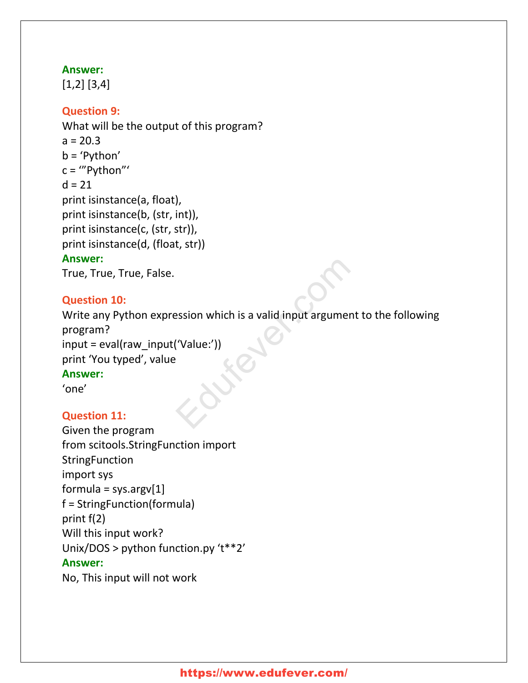#### **Answer:**

[1,2] [3,4]

## **Question 9:**

What will be the output of this program?  $a = 20.3$ b = 'Python' c = '"Python"'  $d = 21$ print isinstance(a, float), print isinstance(b, (str, int)), print isinstance(c, (str, str)), print isinstance(d, (float, str)) **Answer:**

True, True, True, False.

#### **Question 10:**

Write any Python expression which is a valid input argument to the following program? input = eval(raw\_input('Value:')) print 'You typed', value **Answer:** 'one' Existen which is a valid input argument<br>('Value:'))<br>Existence of the comparation of the comparation of the comparation of the comparation of the comparation of the comparation of the comparation of the comparation of the c

## **Question 11:**

```
Given the program
from scitools.StringFunction import
StringFunction
import sys
formula = sys.argv[1]f = StringFunction(formula)
print f(2)
Will this input work?
Unix/DOS > python function.py 't**2'
Answer:
No, This input will not work
```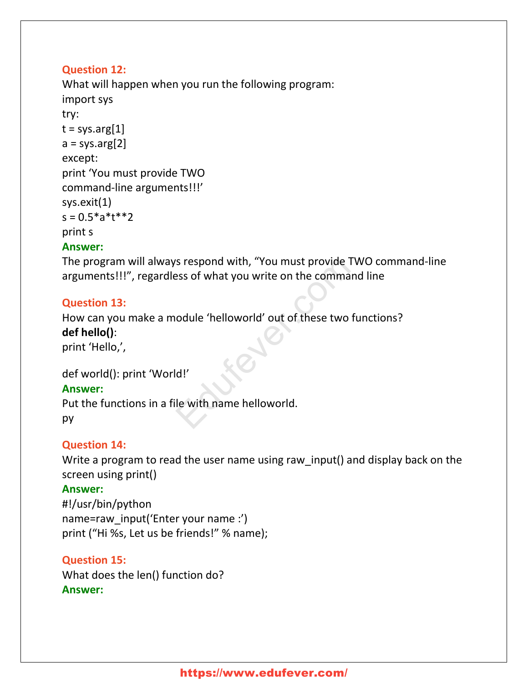## **Question 12:**

What will happen when you run the following program: import sys try:  $t = sys.argv[1]$  $a = sys.argv[2]$ except: print 'You must provide TWO command-line arguments!!!' sys.exit(1)  $s = 0.5*a*t**2$ print s

## **Answer:**

The program will always respond with, "You must provide TWO command-line arguments!!!", regardless of what you write on the command line

#### **Question 13:**

How can you make a module 'helloworld' out of these two functions? **def hello()**: print 'Hello,', Is respond with, "You must provide TW<br>Pass of what you write on the command<br>podule 'helloworld' out of these two fu

## def world(): print 'World!'

#### **Answer:**

Put the functions in a file with name helloworld. py

## **Question 14:**

Write a program to read the user name using raw\_input() and display back on the screen using print()

#### **Answer:**

#!/usr/bin/python name=raw\_input('Enter your name :') print ("Hi %s, Let us be friends!" % name);

## **Question 15:**

What does the len() function do? **Answer:**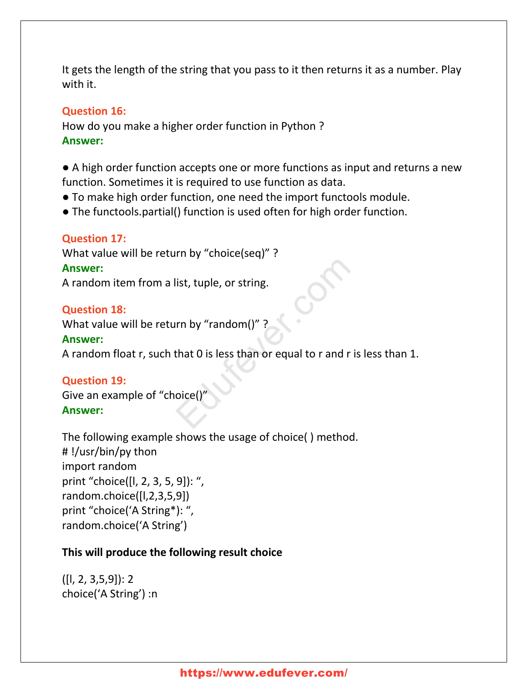It gets the length of the string that you pass to it then returns it as a number. Play with it.

#### **Question 16:**

How do you make a higher order function in Python ? **Answer:**

● A high order function accepts one or more functions as input and returns a new function. Sometimes it is required to use function as data.

- To make high order function, one need the import functools module.
- The functools.partial() function is used often for high order function.

#### **Question 17:**

What value will be return by "choice(seq)" ?

#### **Answer:**

A random item from a list, tuple, or string.

#### **Question 18:**

What value will be return by "random()" ?

#### **Answer:**

A random float r, such that 0 is less than or equal to r and r is less than 1. list, tuple, or string.<br>
In by "random()" ?<br>
that 0 is less than or equal to r and r is<br>
oice()"

#### **Question 19:**

Give an example of "choice() **Answer:**

The following example shows the usage of choice( ) method. # !/usr/bin/py thon import random print "choice([l, 2, 3, 5, 9]): ", random.choice([l,2,3,5,9]) print "choice('A String\*): ", random.choice('A String')

#### **This will produce the following result choice**

([l, 2, 3,5,9]): 2 choice('A String') :n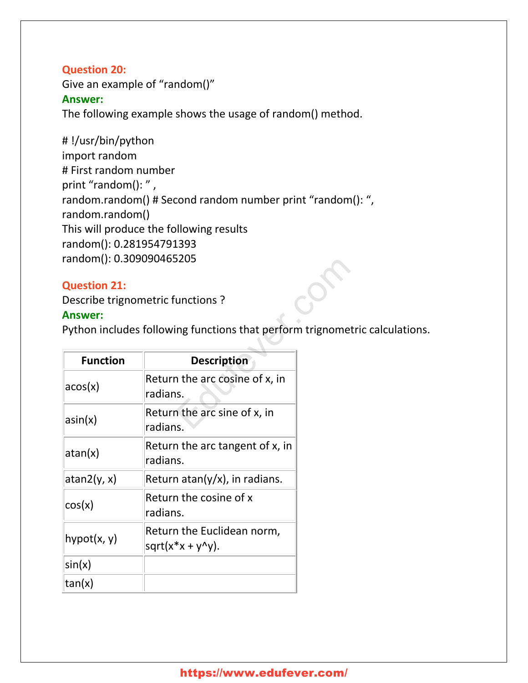#### **Question 20:**

Give an example of "random()" **Answer:** The following example shows the usage of random() method.

# !/usr/bin/python import random # First random number print "random(): ", random.random() # Second random number print "random(): ", random.random() This will produce the following results random(): 0.281954791393 random(): 0.309090465205

#### **Question 21:**

#### **Answer:**

Python includes following functions that perform trignometric calculations.

| random(): 0.309090465205              |                                                                                                  |  |
|---------------------------------------|--------------------------------------------------------------------------------------------------|--|
| <b>Question 21:</b><br><b>Answer:</b> | Describe trignometric functions?<br>Python includes following functions that perform trignometri |  |
| <b>Function</b>                       | <b>Description</b>                                                                               |  |
| acos(x)                               | Return the arc cosine of x, in<br>radians.                                                       |  |
| $\sin(x)$                             | Return the arc sine of x, in<br>radians.                                                         |  |
| atan(x)                               | Return the arc tangent of x, in<br>radians.                                                      |  |
| atan2(y, x)                           | Return atan(y/x), in radians.                                                                    |  |
| cos(x)                                | Return the cosine of x<br>radians.                                                               |  |
| hypot(x, y)                           | Return the Euclidean norm,<br>$sqrt(x*x + y^2y)$ .                                               |  |
| sin(x)                                |                                                                                                  |  |
| tan(x)                                |                                                                                                  |  |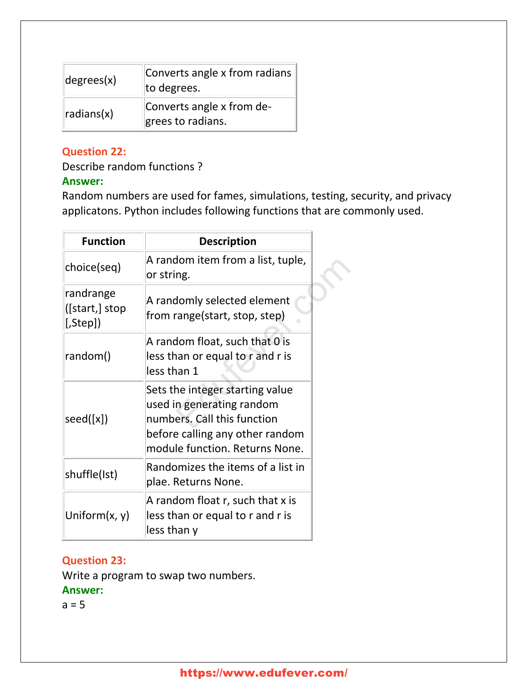| degree(x)  | Converts angle x from radians<br>to degrees.   |  |
|------------|------------------------------------------------|--|
| radians(x) | Converts angle x from de-<br>grees to radians. |  |

## **Question 22:**

Describe random functions ?

## **Answer:**

Random numbers are used for fames, simulations, testing, security, and privacy applicatons. Python includes following functions that are commonly used.

| <b>Function</b>                             | <b>Description</b>                                                                                                                                               |  |
|---------------------------------------------|------------------------------------------------------------------------------------------------------------------------------------------------------------------|--|
| choice(seq)                                 | A random item from a list, tuple,<br>or string.                                                                                                                  |  |
| randrange<br>([start,] stop<br>$[$ , Step]) | A randomly selected element<br>from range(start, stop, step)                                                                                                     |  |
| random()                                    | A random float, such that 0 is<br>less than or equal to r and r is<br>less than 1                                                                                |  |
| seed([x])                                   | Sets the integer starting value<br>used in generating random<br>numbers. Call this function<br>before calling any other random<br>module function. Returns None. |  |
| shuffle(Ist)                                | Randomizes the items of a list in<br>plae. Returns None.                                                                                                         |  |
| Uniform $(x, y)$                            | A random float r, such that x is<br>less than or equal to r and r is<br>less than y                                                                              |  |

## **Question 23:**

Write a program to swap two numbers.

## **Answer:**

 $a = 5$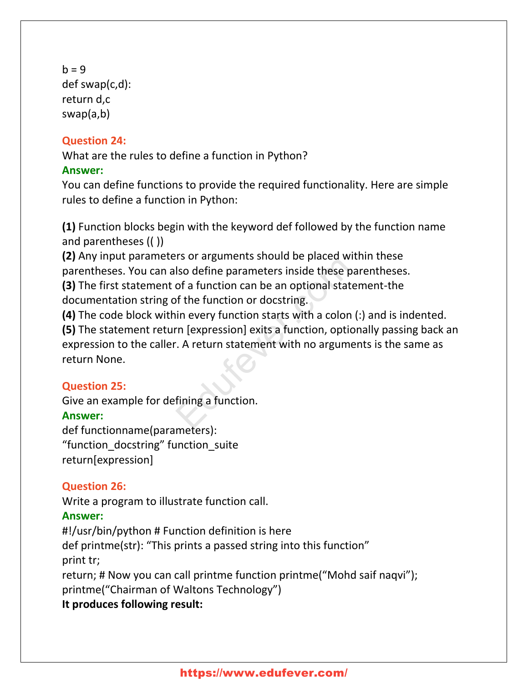```
b = 9def swap(c,d):
return d,c
swap(a,b)
```
## **Question 24:**

What are the rules to define a function in Python?

## **Answer:**

You can define functions to provide the required functionality. Here are simple rules to define a function in Python:

**(1)** Function blocks begin with the keyword def followed by the function name and parentheses (( ))

**(2)** Any input parameters or arguments should be placed within these parentheses. You can also define parameters inside these parentheses. **(3)** The first statement of a function can be an optional statement-the

documentation string of the function or docstring.

**(4)** The code block within every function starts with a colon (:) and is indented.

**(5)** The statement return [expression] exits a function, optionally passing back an expression to the caller. A return statement with no arguments is the same as return None. Iso define parameters inside these par<br>of a function can be an optional staten<br>of the function or docstring.<br>in every function starts with a colon (:<br>rn [expression] exits a function, option<br>. A return statement with no ar

## **Question 25:**

Give an example for defining a function. **Answer:** def functionname(parameters): "function\_docstring" function\_suite

return[expression]

## **Question 26:**

Write a program to illustrate function call.

## **Answer:**

#!/usr/bin/python # Function definition is here def printme(str): "This prints a passed string into this function" print tr; return; # Now you can call printme function printme("Mohd saif naqvi"); printme("Chairman of Waltons Technology") **It produces following result:**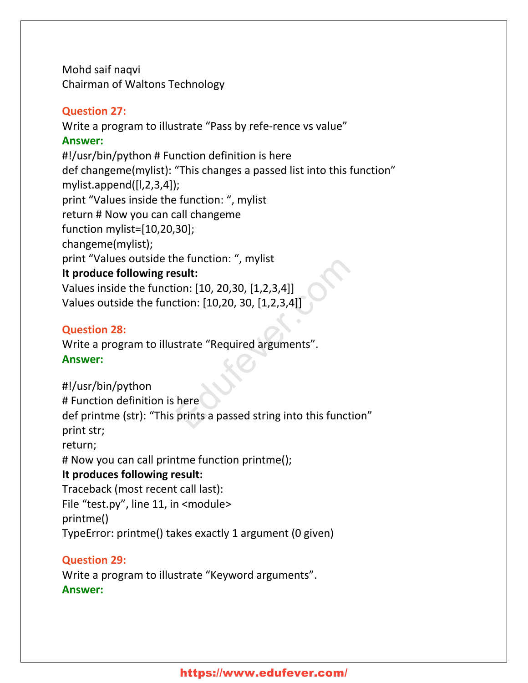Mohd saif naqvi Chairman of Waltons Technology

#### **Question 27:**

Write a program to illustrate "Pass by refe-rence vs value" **Answer:** #!/usr/bin/python # Function definition is here def changeme(mylist): "This changes a passed list into this function" mylist.append([l,2,3,4]); print "Values inside the function: ", mylist return # Now you can call changeme function mylist=[10,20,30]; changeme(mylist); print "Values outside the function: ", mylist **It produce following result:** Values inside the function: [10, 20,30, [1,2,3,4]] Values outside the function: [10,20, 30, [1,2,3,4]] isult:<br>
sult:<br>
ion: [10, 20, 30, [1, 2, 3, 4]]<br>
ttion: [10, 20, 30, [1, 2, 3, 4]]<br>
strate "Required arguments".<br>
here<br>
prints a passed string into this function

#### **Question 28:**

Write a program to illustrate "Required arguments". **Answer:**

#!/usr/bin/python # Function definition is here def printme (str): "This prints a passed string into this function" print str; return; # Now you can call printme function printme(); **It produces following result:** Traceback (most recent call last): File "test.py", line 11, in <module> printme() TypeError: printme() takes exactly 1 argument (0 given)

## **Question 29:**

Write a program to illustrate "Keyword arguments". **Answer:**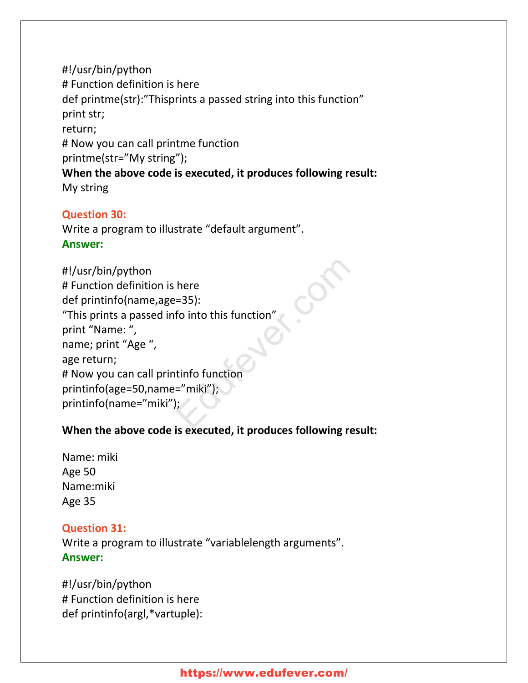#!/usr/bin/python # Function definition is here def printme(str):"Thisprints a passed string into this function" print str; return; # Now you can call printme function printme(str="My string"); **When the above code is executed, it produces following result:** My string

#### **Question 30:**

Write a program to illustrate "default argument". **Answer:**

```
#!/usr/bin/python
# Function definition is here
def printinfo(name,age=35):
"This prints a passed info into this function"
print "Name: ",
name; print "Age ",
age return;
# Now you can call printinfo function
printinfo(age=50,name="miki");
printinfo(name="miki");
                           here<br>
=35):<br>
fo into this function"<br>
tinfo function<br>
="miki");<br>
;<br>
;
```
## **When the above code is executed, it produces following result:**

Name: miki Age 50 Name:miki Age 35

#### **Question 31:** Write a program to illustrate "variablelength arguments".

**Answer:**

#!/usr/bin/python # Function definition is here def printinfo(argl,\*vartuple):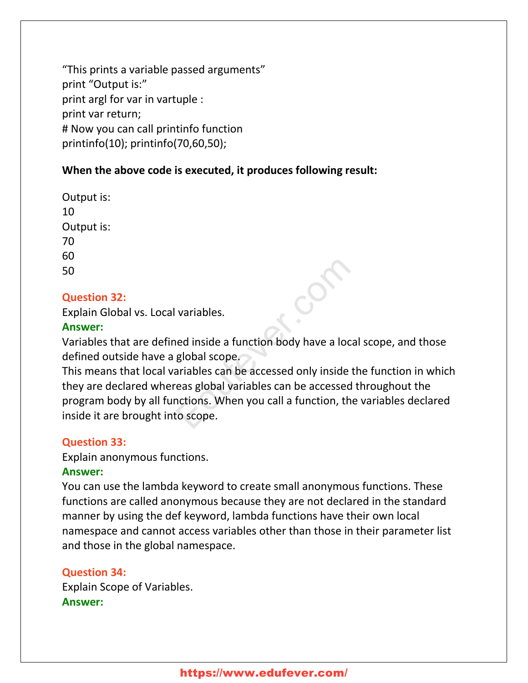"This prints a variable passed arguments" print "Output is:" print argl for var in vartuple : print var return; # Now you can call printinfo function printinfo(10); printinfo(70,60,50);

## **When the above code is executed, it produces following result:**

Output is: 10 Output is: 70 60 50

## **Question 32:**

Explain Global vs. Local variables.

#### **Answer:**

Variables that are defined inside a function body have a local scope, and those defined outside have a global scope.

This means that local variables can be accessed only inside the function in which they are declared whereas global variables can be accessed throughout the program body by all functions. When you call a function, the variables declared inside it are brought into scope. variables.<br>
Head inside a function body have a local<br>
global scope.<br>
Ariables can be accessed only inside th<br>
reas global variables can be accessed th<br>
reas global variables can be accessed th<br>
reas. When you call a functi

## **Question 33:**

Explain anonymous functions.

## **Answer:**

You can use the lambda keyword to create small anonymous functions. These functions are called anonymous because they are not declared in the standard manner by using the def keyword, lambda functions have their own local namespace and cannot access variables other than those in their parameter list and those in the global namespace.

## **Question 34:**

Explain Scope of Variables. **Answer:**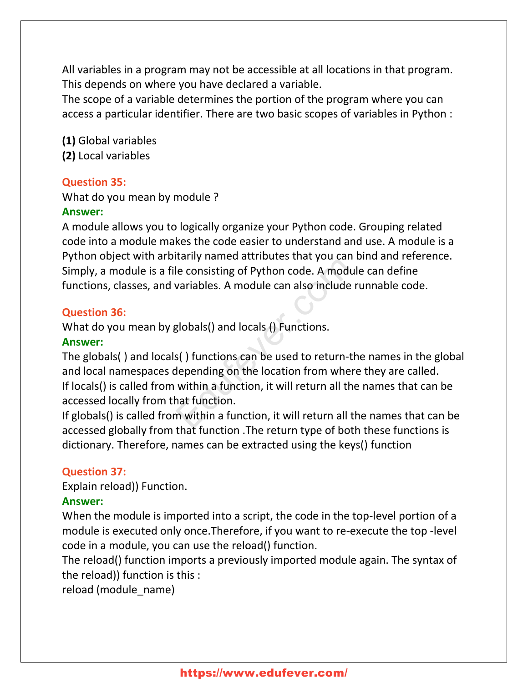All variables in a program may not be accessible at all locations in that program. This depends on where you have declared a variable.

The scope of a variable determines the portion of the program where you can access a particular identifier. There are two basic scopes of variables in Python :

**(1)** Global variables **(2)** Local variables

#### **Question 35:**

What do you mean by module ?

#### **Answer:**

A module allows you to logically organize your Python code. Grouping related code into a module makes the code easier to understand and use. A module is a Python object with arbitarily named attributes that you can bind and reference. Simply, a module is a file consisting of Python code. A module can define functions, classes, and variables. A module can also include runnable code.

## **Question 36:**

What do you mean by globals() and locals () Functions.

#### **Answer:**

The globals( ) and locals( ) functions can be used to return-the names in the global and local namespaces depending on the location from where they are called. If locals() is called from within a function, it will return all the names that can be accessed locally from that function. He consisting of Python code. A module<br>variables. A module can also include ru<br>globals() and locals () Functions.<br>s() functions can be used to return-the<br>depending on the location from where<br>within a function, it will retu

If globals() is called from within a function, it will return all the names that can be accessed globally from that function .The return type of both these functions is dictionary. Therefore, names can be extracted using the keys() function

## **Question 37:**

Explain reload)) Function.

## **Answer:**

When the module is imported into a script, the code in the top-level portion of a module is executed only once.Therefore, if you want to re-execute the top -level code in a module, you can use the reload() function.

The reload() function imports a previously imported module again. The syntax of the reload)) function is this :

reload (module\_name)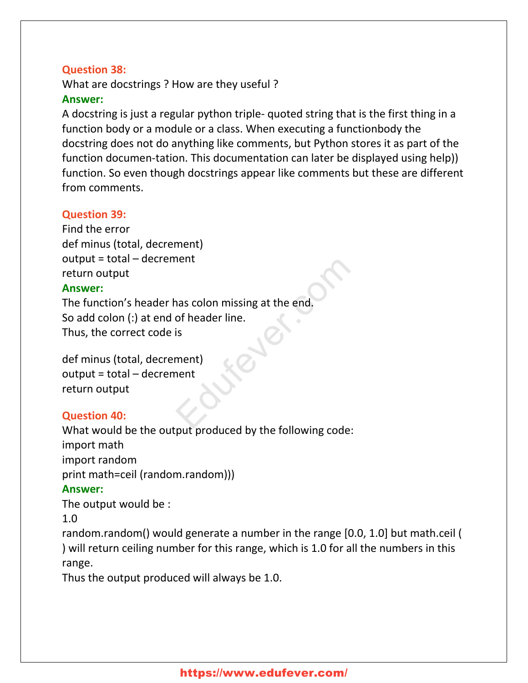## **Question 38:**

What are docstrings ? How are they useful ? **Answer:**

A docstring is just a regular python triple- quoted string that is the first thing in a function body or a module or a class. When executing a functionbody the docstring does not do anything like comments, but Python stores it as part of the function documen-tation. This documentation can later be displayed using help)) function. So even though docstrings appear like comments but these are different from comments.

#### **Question 39:**

```
Find the error
def minus (total, decrement)
output = total – decrement
return output
Answer:
```
The function's header has colon missing at the end. So add colon (:) at end of header line. Thus, the correct code is The main term of the ader line.

```
def minus (total, decrement)
output = total – decrement
return output
```
## **Question 40:**

What would be the output produced by the following code: import math import random print math=ceil (random.random))) **Answer:** The output would be : 1.0

random.random() would generate a number in the range [0.0, 1.0] but math.ceil ( ) will return ceiling number for this range, which is 1.0 for all the numbers in this range.

Thus the output produced will always be 1.0.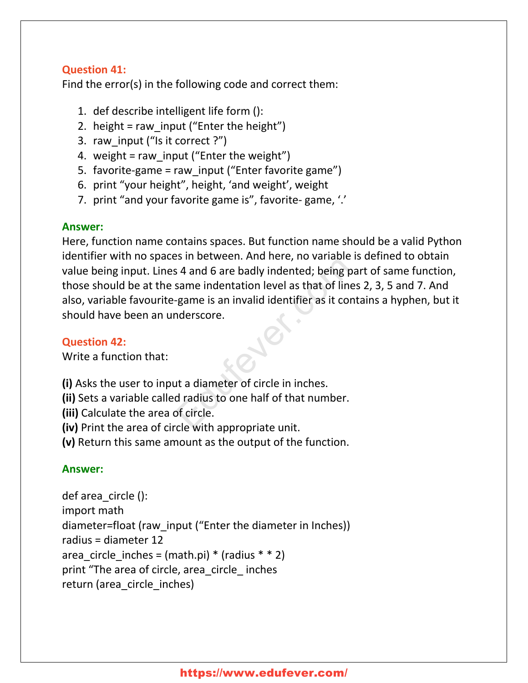## **Question 41:**

Find the error(s) in the following code and correct them:

- 1. def describe intelligent life form ():
- 2. height = raw input ("Enter the height")
- 3. raw\_input ("Is it correct ?")
- 4. weight = raw input ("Enter the weight")
- 5. favorite-game = raw\_input ("Enter favorite game")
- 6. print "your height", height, 'and weight', weight
- 7. print "and your favorite game is", favorite- game, '.'

## **Answer:**

Here, function name contains spaces. But function name should be a valid Python identifier with no spaces in between. And here, no variable is defined to obtain value being input. Lines 4 and 6 are badly indented; being part of same function, those should be at the same indentation level as that of lines 2, 3, 5 and 7. And also, variable favourite-game is an invalid identifier as it contains a hyphen, but it should have been an underscore. Education Industry to variance is<br>
s 4 and 6 are badly indented; being par<br>
same indentation level as that of lines<br>
egame is an invalid identifier as it contains<br>
derscore.<br>
<br>
at a diameter of circle in inches.<br>
d radius

## **Question 42:**

Write a function that:

**(i)** Asks the user to input a diameter of circle in inches.

**(ii)** Sets a variable called radius to one half of that number.

- **(iii)** Calculate the area of circle.
- **(iv)** Print the area of circle with appropriate unit.
- **(v)** Return this same amount as the output of the function.

## **Answer:**

```
def area_circle ():
import math
diameter=float (raw_input ("Enter the diameter in Inches))
radius = diameter 12
area circle inches = (math.pi) * (radius * * 2)
print "The area of circle, area_circle_ inches
return (area_circle_inches)
```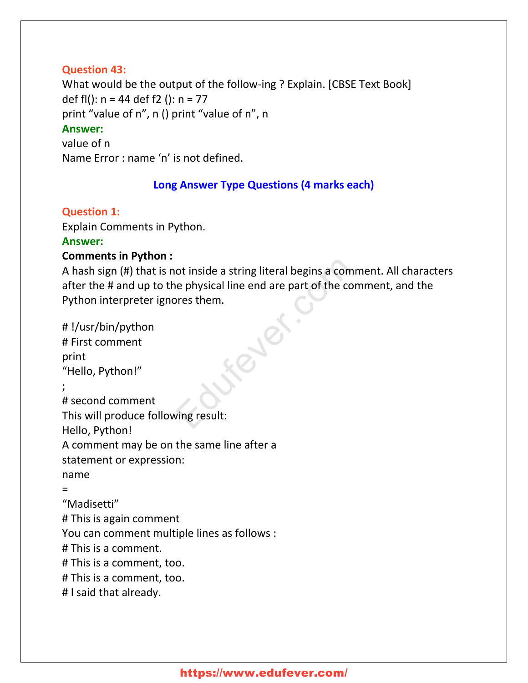#### **Question 43:**

What would be the output of the follow-ing ? Explain. [CBSE Text Book] def fl():  $n = 44$  def f2 ():  $n = 77$ print "value of n", n () print "value of n", n **Answer:** value of n Name Error : name 'n' is not defined.

## **Long Answer Type Questions (4 marks each)**

**Question 1:**

Explain Comments in Python.

#### **Answer:**

## **Comments in Python :**

A hash sign (#) that is not inside a string literal begins a comment. All characters after the # and up to the physical line end are part of the comment, and the Python interpreter ignores them.

# !/usr/bin/python # First comment print "Hello, Python!" ; # second comment This will produce following result: Hello, Python! A comment may be on the same line after a statement or expression: name = "Madisetti" # This is again comment You can comment multiple lines as follows : # This is a comment. # This is a comment, too. # This is a comment, too. # I said that already. ot inside a string literal begins a comment physical line end are part of the comments them.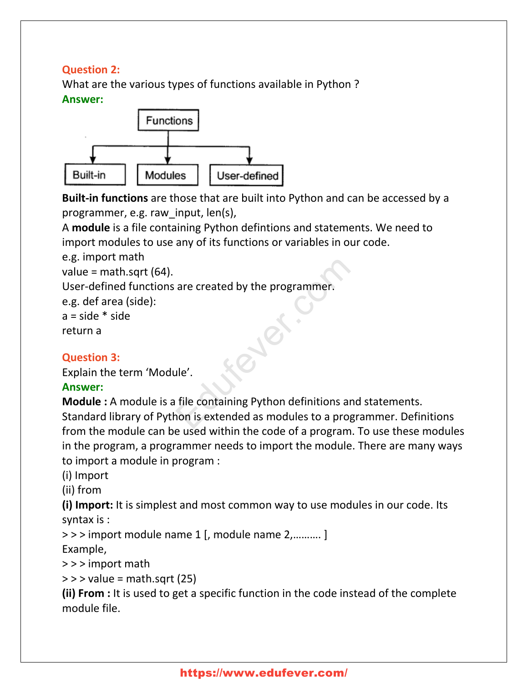## **Question 2:**

What are the various types of functions available in Python ? **Answer:**



**Built-in functions** are those that are built into Python and can be accessed by a programmer, e.g. raw\_input, len(s),

A **module** is a file containing Python defintions and statements. We need to import modules to use any of its functions or variables in our code.

e.g. import math

value = math.sqrt  $(64)$ .

User-defined functions are created by the programmer.

e.g. def area (side):

 $a = side * side$ 

return a

## **Question 3:**

Explain the term 'Module'.

## **Answer:**

**Module :** A module is a file containing Python definitions and statements. Standard library of Python is extended as modules to a programmer. Definitions from the module can be used within the code of a program. To use these modules in the program, a programmer needs to import the module. There are many ways to import a module in program : are created by the programmer.<br>
Let the containing Python definitions and<br>
non is extended as modules to a program

(i) Import

(ii) from

**(i) Import:** It is simplest and most common way to use modules in our code. Its syntax is :

> > > import module name 1 [, module name 2,………. ]

Example,

> > > import math

 $>>$  value = math.sqrt (25)

**(ii) From :** It is used to get a specific function in the code instead of the complete module file.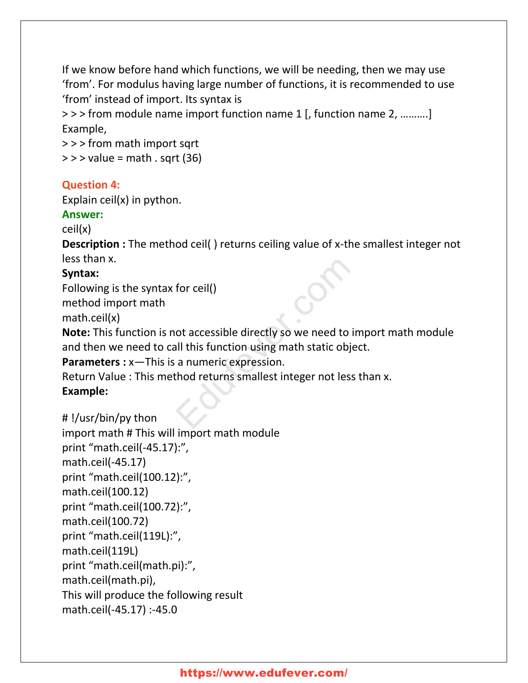If we know before hand which functions, we will be needing, then we may use 'from'. For modulus having large number of functions, it is recommended to use 'from' instead of import. Its syntax is

> > > from module name import function name 1 [, function name 2, ……….] Example,

> > > from math import sqrt  $\ge$   $>$   $\ge$  value = math . sqrt (36)

#### **Question 4:**

Explain ceil(x) in python.

#### **Answer:**

ceil(x)

**Description** : The method ceil() returns ceiling value of x-the smallest integer not less than x.

## **Syntax:**

Following is the syntax for ceil()

method import math

math.ceil(x)

**Note:** This function is not accessible directly so we need to import math module and then we need to call this function using math static object. for ceil()<br>
ot accessible directly so we need to im<br>
all this function using math static objec<br>
a numeric expression.<br>
thod returns smallest integer not less t

**Parameters :** x—This is a numeric expression.

Return Value : This method returns smallest integer not less than x.

## **Example:**

```
# !/usr/bin/py thon
```

```
import math # This will import math module
print "math.ceil(-45.17):",
math.ceil(-45.17)
print "math.ceil(100.12):",
math.ceil(100.12)
print "math.ceil(100.72):",
math.ceil(100.72)
print "math.ceil(119L):",
math.ceil(119L)
print "math.ceil(math.pi):",
math.ceil(math.pi),
This will produce the following result
math.ceil(-45.17) :-45.0
```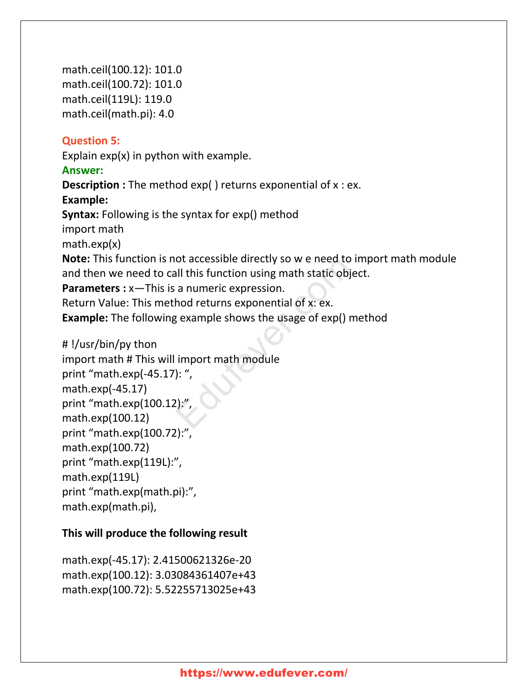math.ceil(100.12): 101.0 math.ceil(100.72): 101.0 math.ceil(119L): 119.0 math.ceil(math.pi): 4.0

#### **Question 5:**

Explain  $exp(x)$  in python with example.

#### **Answer:**

**Description** : The method exp() returns exponential of x : ex. **Example: Syntax:** Following is the syntax for exp() method import math math.exp(x) **Note:** This function is not accessible directly so w e need to import math module and then we need to call this function using math static object. **Parameters :** x—This is a numeric expression. Return Value: This method returns exponential of x: ex. **Example:** The following example shows the usage of exp() method ot accessible directly so we heed to in<br>all this function using math static objec<br>a numeric expression.<br>hod returns exponential of x: ex.<br>g example shows the usage of exp() me<br>import math module<br>): ",<br>", ..."

#### # !/usr/bin/py thon

import math # This will import math module print "math.exp(-45.17): ", math.exp(-45.17) print "math.exp(100.12):", math.exp(100.12) print "math.exp(100.72):", math.exp(100.72) print "math.exp(119L):", math.exp(119L) print "math.exp(math.pi):", math.exp(math.pi),

## **This will produce the following result**

math.exp(-45.17): 2.41500621326e-20 math.exp(100.12): 3.03084361407e+43 math.exp(100.72): 5.52255713025e+43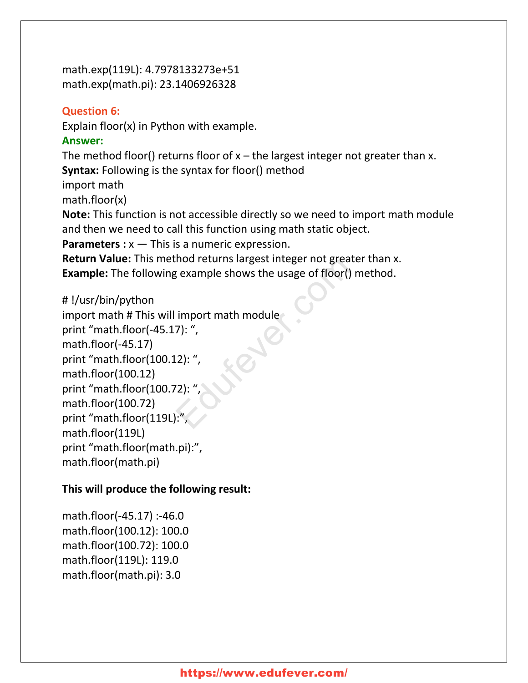math.exp(119L): 4.7978133273e+51 math.exp(math.pi): 23.1406926328

#### **Question 6:**

Explain floor(x) in Python with example.

#### **Answer:**

The method floor() returns floor of  $x$  – the largest integer not greater than x. **Syntax:** Following is the syntax for floor() method import math

math.floor(x)

**Note:** This function is not accessible directly so we need to import math module and then we need to call this function using math static object.

**Parameters :** x — This is a numeric expression.

**Return Value:** This method returns largest integer not greater than x. **Example:** The following example shows the usage of floor() method.

#### # !/usr/bin/python

import math # This will import math module print "math.floor(-45.17): ", math.floor(-45.17) print "math.floor(100.12): ", math.floor(100.12) print "math.floor(100.72): ", math.floor(100.72) print "math.floor(119L):" math.floor(119L) print "math.floor(math.pi):", math.floor(math.pi) Frame States and States and States of floor<br>
Example shows the usage of floor<br>
() m<br>
import math module<br>
7): ",<br>
(2): ",<br>
(2): ",<br>
(2): ",<br>
(2): ",

## **This will produce the following result:**

math.floor(-45.17) :-46.0 math.floor(100.12): 100.0 math.floor(100.72): 100.0 math.floor(119L): 119.0 math.floor(math.pi): 3.0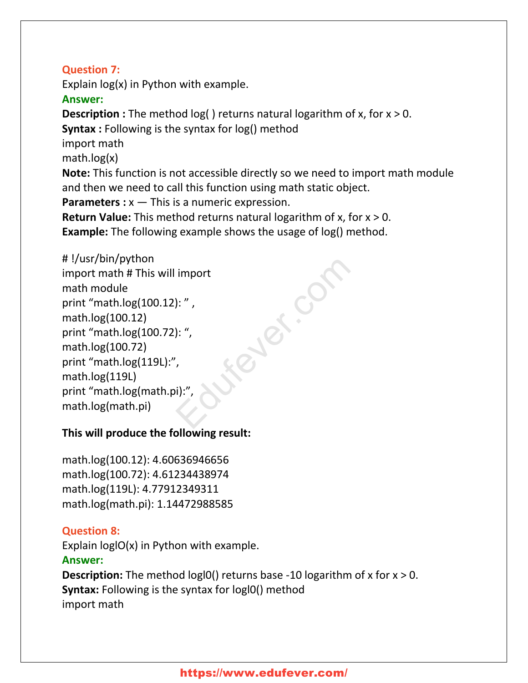## **Question 7:**

Explain log(x) in Python with example.

#### **Answer:**

**Description** : The method log() returns natural logarithm of x, for x > 0. **Syntax :** Following is the syntax for log() method import math math.log(x) **Note:** This function is not accessible directly so we need to import math module and then we need to call this function using math static object. **Parameters :** x — This is a numeric expression. **Return Value:** This method returns natural logarithm of x, for x > 0.

ever.cf

**Example:** The following example shows the usage of log() method.

## # !/usr/bin/python

import math # This will import math module print "math.log(100.12): " , math.log(100.12) print "math.log(100.72): ", math.log(100.72) print "math.log(119L):", math.log(119L) print "math.log(math.pi):", math.log(math.pi)

## **This will produce the following result:**

math.log(100.12): 4.60636946656 math.log(100.72): 4.61234438974 math.log(119L): 4.77912349311 math.log(math.pi): 1.14472988585

## **Question 8:**

Explain loglO(x) in Python with example. **Answer: Description:** The method logl0() returns base -10 logarithm of x for x > 0. **Syntax:** Following is the syntax for logl0() method

import math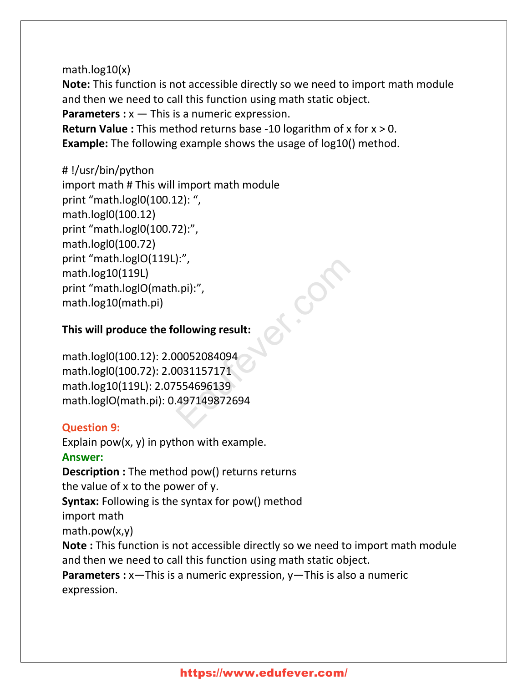## math.log10(x)

**Note:** This function is not accessible directly so we need to import math module and then we need to call this function using math static object.

**Parameters :** x — This is a numeric expression.

**Return Value :** This method returns base -10 logarithm of x for x > 0. **Example:** The following example shows the usage of log10() method.

## # !/usr/bin/python

import math # This will import math module print "math.logl0(100.12): ", math.logl0(100.12) print "math.logl0(100.72):", math.logl0(100.72) print "math.loglO(119L):", math.log10(119L) print "math.loglO(math.pi):", math.log10(math.pi) 1.pi):",<br>
0.pi):",<br>
00052084094<br>
0031157171<br>
554696139<br>
497149872694

## **This will produce the following result:**

math.logl0(100.12): 2.00052084094 math.logl0(100.72): 2.0031157171 math.log10(119L): 2.07554696139 math.loglO(math.pi): 0.497149872694

## **Question 9:**

Explain pow $(x, y)$  in python with example. **Answer: Description :** The method pow() returns returns the value of x to the power of y. **Syntax:** Following is the syntax for pow() method import math math.pow(x,y) **Note :** This function is not accessible directly so we need to import math module and then we need to call this function using math static object. **Parameters** : x-This is a numeric expression, y-This is also a numeric

expression.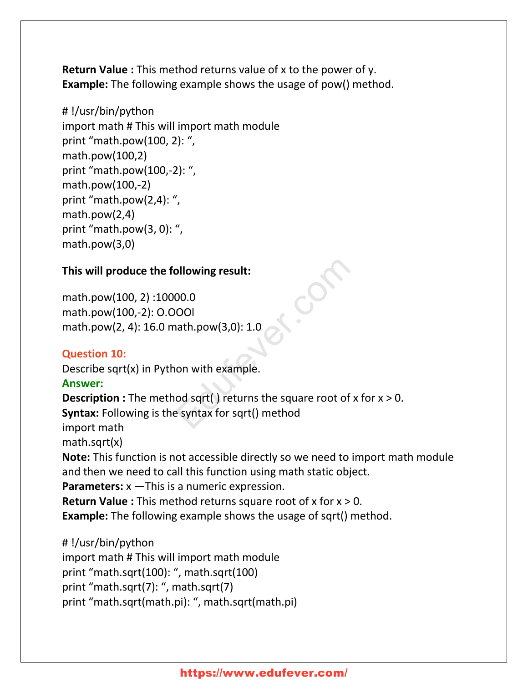**Return Value :** This method returns value of x to the power of y. **Example:** The following example shows the usage of pow() method.

#### # !/usr/bin/python

import math # This will import math module print "math.pow(100, 2): ", math.pow(100,2) print "math.pow(100,-2): ", math.pow(100,-2) print "math.pow(2,4): ", math.pow(2,4) print "math.pow(3, 0): ", math.pow(3,0)

#### **This will produce the following result:**

math.pow(100, 2) :10000.0 math.pow(100,-2): O.OOOl math.pow(2, 4): 16.0 math.pow(3,0): 1.0

## **Question 10:**

Describe sqrt(x) in Python with example.

#### **Answer:**

**Description :** The method sqrt() returns the square root of x for x > 0. **Syntax:** Following is the syntax for sqrt() method import math math.sqrt(x) **Note:** This function is not accessible directly so we need to import math module and then we need to call this function using math static object. **Parameters:** x —This is a numeric expression. **Return Value :** This method returns square root of x for x > 0. **Example:** The following example shows the usage of sqrt() method. olonomianted and the power and the power and the power and square root of x the square root of x the square root of x the square root of x the square root of x the square root of x the square root of x the square root of x

## # !/usr/bin/python

import math # This will import math module print "math.sqrt(100): ", math.sqrt(100) print "math.sqrt(7): ", math.sqrt(7) print "math.sqrt(math.pi): ", math.sqrt(math.pi)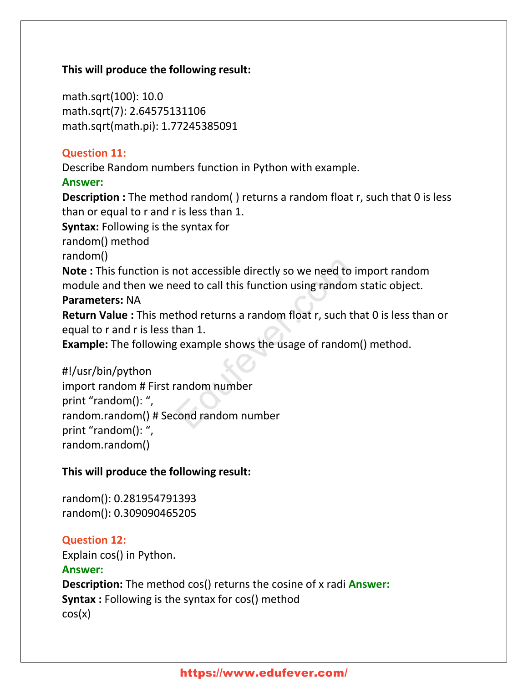#### **This will produce the following result:**

math.sqrt(100): 10.0 math.sqrt(7): 2.64575131106 math.sqrt(math.pi): 1.77245385091

#### **Question 11:**

Describe Random numbers function in Python with example.

#### **Answer:**

**Description :** The method random( ) returns a random float r, such that 0 is less than or equal to r and r is less than 1.

**Syntax:** Following is the syntax for

random() method

random()

**Note :** This function is not accessible directly so we need to import random module and then we need to call this function using random static object.

## **Parameters:** NA

**Return Value :** This method returns a random float r, such that 0 is less than or equal to r and r is less than 1.

**Example:** The following example shows the usage of random() method.

## #!/usr/bin/python

import random # First random number print "random(): ", random.random() # Second random number print "random(): ", random.random() not accessible directly so we need to in<br>
eed to call this function using random s<br>
thod returns a random float r, such tha<br>
han 1.<br>
gexample shows the usage of random<br>
candom number<br>
cond random number

## **This will produce the following result:**

random(): 0.281954791393 random(): 0.309090465205

## **Question 12:**

Explain cos() in Python.

## **Answer:**

**Description:** The method cos() returns the cosine of x radi **Answer: Syntax :** Following is the syntax for cos() method cos(x)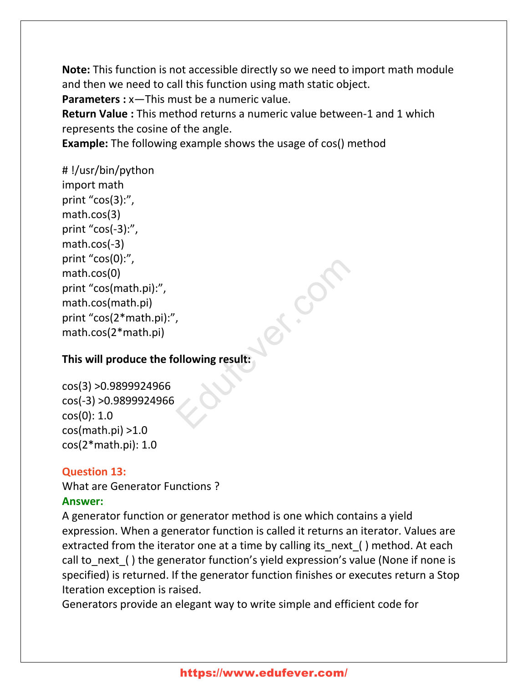**Note:** This function is not accessible directly so we need to import math module and then we need to call this function using math static object.

**Parameters :** x—This must be a numeric value.

**Return Value :** This method returns a numeric value between-1 and 1 which represents the cosine of the angle.

**Example:** The following example shows the usage of cos() method

# !/usr/bin/python import math print "cos(3):", math.cos(3) print "cos(-3):", math.cos(-3) print "cos(0):", math.cos(0) print "cos(math.pi):", math.cos(math.pi) print "cos(2\*math.pi):", math.cos(2\*math.pi)

## **This will produce the following result:**

cos(3) >0.9899924966 cos(-3) >0.9899924966 cos(0): 1.0 cos(math.pi) >1.0 cos(2\*math.pi): 1.0

## **Question 13:**

What are Generator Functions ? **Answer:**

A generator function or generator method is one which contains a yield expression. When a generator function is called it returns an iterator. Values are extracted from the iterator one at a time by calling its next ( ) method. At each call to next ( ) the generator function's yield expression's value (None if none is specified) is returned. If the generator function finishes or executes return a Stop Iteration exception is raised.

ex.cf

Generators provide an elegant way to write simple and efficient code for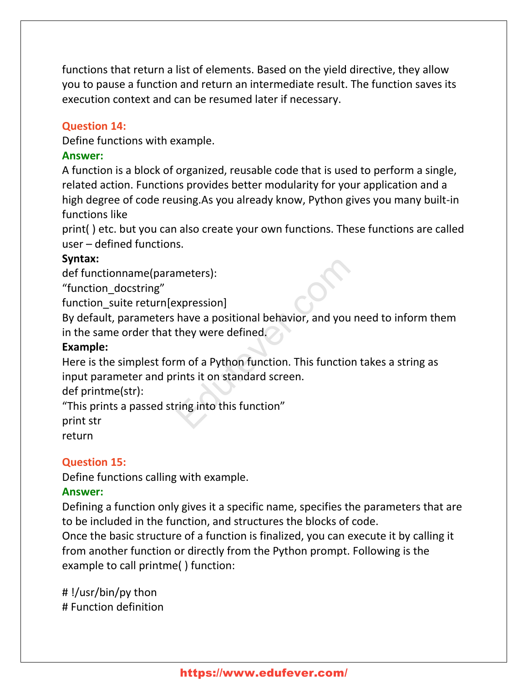functions that return a list of elements. Based on the yield directive, they allow you to pause a function and return an intermediate result. The function saves its execution context and can be resumed later if necessary.

#### **Question 14:**

Define functions with example.

#### **Answer:**

A function is a block of organized, reusable code that is used to perform a single, related action. Functions provides better modularity for your application and a high degree of code reusing.As you already know, Python gives you many built-in functions like

print( ) etc. but you can also create your own functions. These functions are called user – defined functions.

#### **Syntax:**

def functionname(parameters):

"function\_docstring"

function suite return[expression]

By default, parameters have a positional behavior, and you need to inform them in the same order that they were defined. meters):<br>
Expression]<br>
have a positional behavior, and you net<br>
they were defined.<br>
The of a Python function. This function that it on standard screen.<br>
The into this function"

#### **Example:**

Here is the simplest form of a Python function. This function takes a string as input parameter and prints it on standard screen.

def printme(str):

"This prints a passed string into this function"

print str

return

#### **Question 15:**

Define functions calling with example.

#### **Answer:**

Defining a function only gives it a specific name, specifies the parameters that are to be included in the function, and structures the blocks of code.

Once the basic structure of a function is finalized, you can execute it by calling it from another function or directly from the Python prompt. Following is the example to call printme( ) function:

# !/usr/bin/py thon # Function definition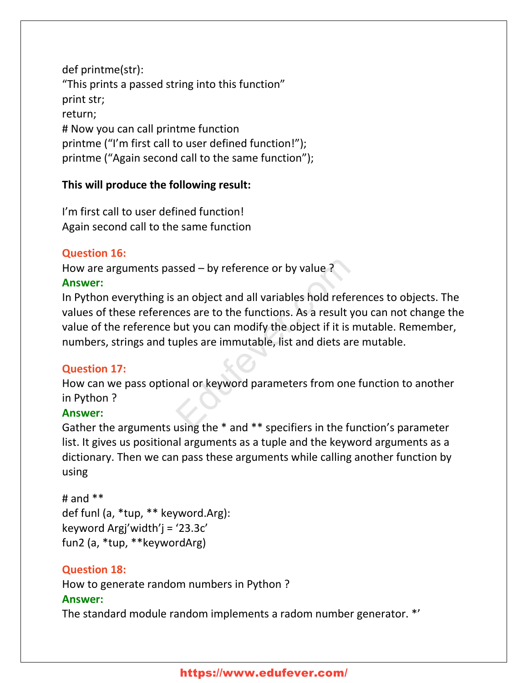def printme(str): "This prints a passed string into this function" print str; return; # Now you can call printme function printme ("I'm first call to user defined function!"); printme ("Again second call to the same function");

## **This will produce the following result:**

I'm first call to user defined function! Again second call to the same function

## **Question 16:**

How are arguments passed – by reference or by value ? **Answer:**

In Python everything is an object and all variables hold references to objects. The values of these references are to the functions. As a result you can not change the value of the reference but you can modify the object if it is mutable. Remember, numbers, strings and tuples are immutable, list and diets are mutable. ssed – by reference or by value ?<br>
an object and all variables hold refere<br>
ces are to the functions. As a result yo<br>
but you can modify the object if it is m<br>
uples are immutable, list and diets are<br>
nal or keyword parame

## **Question 17:**

How can we pass optional or keyword parameters from one function to another in Python ?

## **Answer:**

Gather the arguments using the \* and \*\* specifiers in the function's parameter list. It gives us positional arguments as a tuple and the keyword arguments as a dictionary. Then we can pass these arguments while calling another function by using

```
# and **def funl (a, *tup, ** keyword.Arg):
keyword Argj'width'j = '23.3c'
fun2 (a, *tup, **keywordArg)
```
## **Question 18:**

How to generate random numbers in Python ?

#### **Answer:**

The standard module random implements a radom number generator. \*'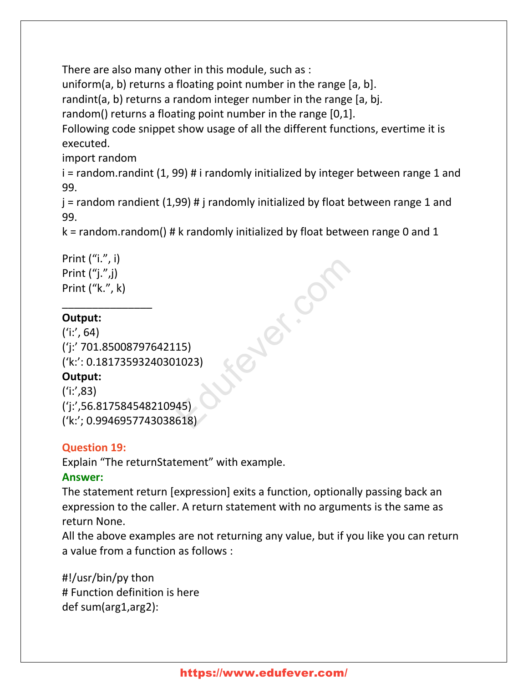There are also many other in this module, such as :

uniform(a, b) returns a floating point number in the range [a, b].

randint(a, b) returns a random integer number in the range [a, bj.

random() returns a floating point number in the range [0,1].

Following code snippet show usage of all the different functions, evertime it is executed.

import random

 $i =$  random.randint (1, 99) # i randomly initialized by integer between range 1 and 99.

 $j$  = random randient (1,99) # j randomly initialized by float between range 1 and 99.

ever.com

 $k =$  random.random() # k randomly initialized by float between range 0 and 1

```
Print ("i.", i)
Print ("j."j)Print ("k.", k)
```
\_\_\_\_\_\_\_\_\_\_\_\_\_\_\_

## **Output:**

 $('i:', 64)$ ('j:' 701.85008797642115) ('k:': 0.18173593240301023)

## **Output:**

 $('i:', 83)$ ('j:',56.817584548210945) ('k:'; 0.9946957743038618)

## **Question 19:**

Explain "The returnStatement" with example.

## **Answer:**

The statement return [expression] exits a function, optionally passing back an expression to the caller. A return statement with no arguments is the same as return None.

All the above examples are not returning any value, but if you like you can return a value from a function as follows :

#!/usr/bin/py thon # Function definition is here def sum(arg1,arg2):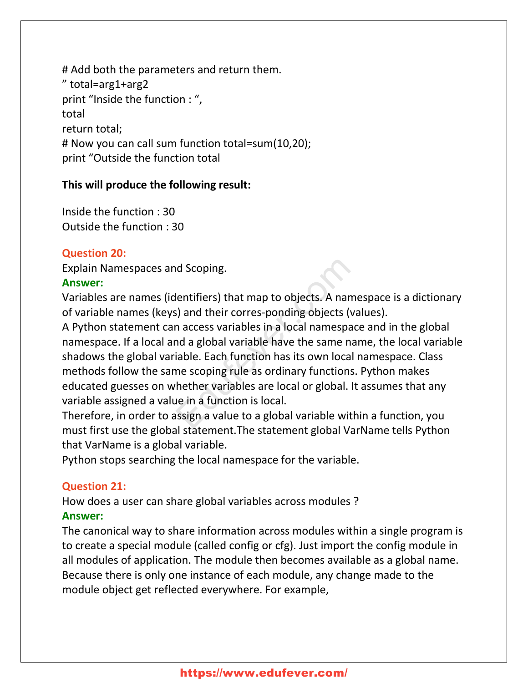# Add both the parameters and return them. " total=arg1+arg2 print "Inside the function : ", total return total; # Now you can call sum function total=sum(10,20); print "Outside the function total

#### **This will produce the following result:**

Inside the function : 30 Outside the function : 30

## **Question 20:**

Explain Namespaces and Scoping.

#### **Answer:**

Variables are names (identifiers) that map to objects. A namespace is a dictionary of variable names (keys) and their corres-ponding objects (values).

A Python statement can access variables in a local namespace and in the global namespace. If a local and a global variable have the same name, the local variable shadows the global variable. Each function has its own local namespace. Class methods follow the same scoping rule as ordinary functions. Python makes educated guesses on whether variables are local or global. It assumes that any variable assigned a value in a function is local. Independent<br>
Intifiers) that map to objects. A name<br>
S) and their corres-ponding objects (values)<br>
In access variables in a local namespace<br>
and a global variable have the same nan<br>
iable. Each function has its own local n

Therefore, in order to assign a value to a global variable within a function, you must first use the global statement.The statement global VarName tells Python that VarName is a global variable.

Python stops searching the local namespace for the variable.

## **Question 21:**

How does a user can share global variables across modules ?

## **Answer:**

The canonical way to share information across modules within a single program is to create a special module (called config or cfg). Just import the config module in all modules of application. The module then becomes available as a global name. Because there is only one instance of each module, any change made to the module object get reflected everywhere. For example,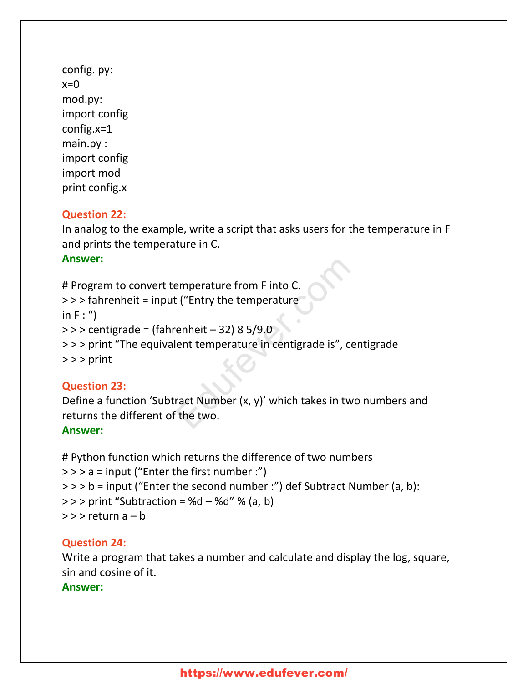config. py:  $x=0$ mod.py: import config config.x=1 main.py : import config import mod print config.x

#### **Question 22:**

In analog to the example, write a script that asks users for the temperature in F and prints the temperature in C.

#### **Answer:**

```
# Program to convert temperature from F into C.
> > > fahrenheit = input ("Entry the temperature
in F : "\ge > > centigrade = (fahrenheit - 32) 8 5/9.0
> > > print "The equivalent temperature in centigrade is", centigrade
> > > print
                                    emperature from F into C.<br>
L ("Entry the temperature<br>
enheit – 32) 8 5/9.0<br>
lent temperature in centigrade is", cen<br>
ract Number (x, y)' which takes in two<br>
the two.
```
## **Question 23:**

Define a function 'Subtract Number (x, y)' which takes in two numbers and returns the different of the two.

## **Answer:**

# Python function which returns the difference of two numbers  $>>$  a = input ("Enter the first number :") > > > b = input ("Enter the second number :") def Subtract Number (a, b):  $>>$  print "Subtraction = %d – %d" % (a, b)  $>>$  return a  $- b$ 

## **Question 24:**

Write a program that takes a number and calculate and display the log, square, sin and cosine of it.

#### **Answer:**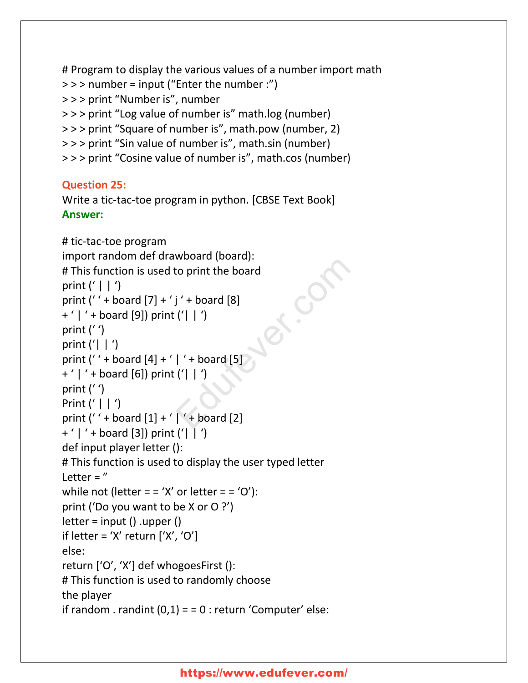```
# Program to display the various values of a number import math
> > > number = input ("Enter the number :")
> > > print "Number is", number
> > > print "Log value of number is" math.log (number)
> > > print "Square of number is", math.pow (number, 2)
> > > print "Sin value of number is", math.sin (number)
> > > print "Cosine value of number is", math.cos (number)
```
## **Question 25:**

Write a tic-tac-toe program in python. [CBSE Text Book] **Answer:**

```
# tic-tac-toe program
import random def drawboard (board):
# This function is used to print the board
print (' | | ')
print ('' + board [7] + 'j' + board [8]+ ' | ' + board [9]) print ('| | ')
print (' ')
print ('| |')print ('' + board [4] + ' | ' + board [5]+ ' | ' + board [6]) print ('| | ')
print (' ')
Print (' | | ')
print (' ' + board [1] + ' | ' + board [2]
+ ' | ' + board [3]) print ('| \mid ')
def input player letter ():
# This function is used to display the user typed letter
Letter = "while not (letter = = 'X' or letter = = 'O'):
print ('Do you want to be X or O ?')
letter = input() .upper ()if letter = 'X' return ['X', 'O']else:
return ['O', 'X'] def whogoesFirst ():
# This function is used to randomly choose
the player
if random . randint (0,1) = 0 : return 'Computer' else:
                                 France (board).<br>
France (Barry).<br>
\begin{bmatrix} 1 & 1 & 0 \\ 0 & 1 & 0 \\ 0 & 0 & 0 \\ 0 & 0 & 0 \\ 0 & 0 & 0 \\ 0 & 0 & 0 \\ 0 & 0 & 0 \\ 0 & 0 & 0 \\ 0 & 0 & 0 \\ 0 & 0 & 0 \\ 0 & 0 & 0 \\ 0 & 0 & 0 \\ 0 & 0 & 0 \\ 0 & 0 & 0 \\ 0 & 0 & 0 \\ 0 & 0 & 0 \\ 0 & 0 & 0 \\ 0 & 0 & 0 \\ 0 & 0 & 0 \\ 0 & 0 & 0 \\
```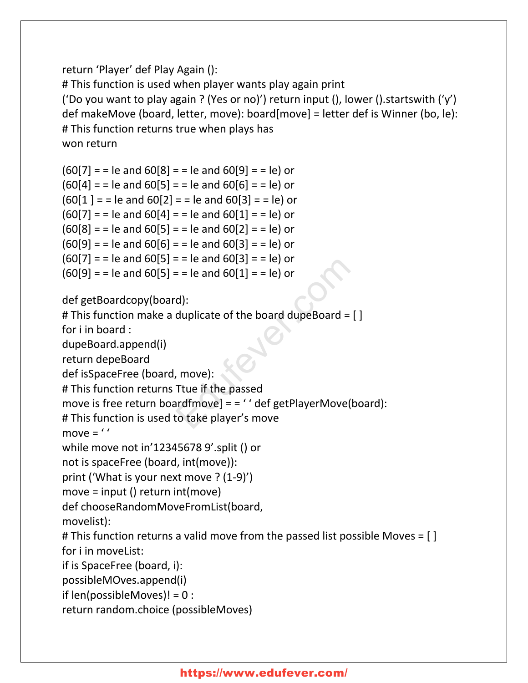## return 'Player' def Play Again ():

# This function is used when player wants play again print ('Do you want to play again ? (Yes or no)') return input (), lower ().startswith ('y') def makeMove (board, letter, move): board[move] = letter def is Winner (bo, le): # This function returns true when plays has won return

```
(60[7] = 1 = le and 60[8] = 1 = le and 60[9] = 1 = le) or
(60[4] = 1 = le and 60[5] = 1 = le and 60[6] = 1 = le) or
(60[1] = 1 = le and 60[2] = 1 = le and 60[3] = 1 = le) or
(60[7] = 1 = le and 60[4] = 1 = le and 60[1] = 1 = le) or
(60[8] = 1 = le and 60[5] = 1 = le and 60[2] = 1 = le) or
(60[9] = 1 = le and 60[6] = 1 = le and 60[3] = 1 = le) or
(60[7] = 1 = le and 60[5] = 1 = le and 60[3] = 1 = le) or
(60[9] = 1 = le and 60[5] = 1 = le and 60[1] = 1 = le) or
                                     E = E and 60[1] = E and 60[1] = 1 and 60[1] = 1 and 60[1] = 1 and d):<br>
duplicate of the board dupeBoard = []<br>
E = E and 60[1] = 1 and d)<br>
d):<br>
E = E and 60[1] = 1 and d)<br>
d):<br>
E = E and E and E and E
```

```
def getBoardcopy(board):
```

```
# This function make a duplicate of the board dupeBoard = [ ]
```
for i in board :

dupeBoard.append(i)

return depeBoard

def isSpaceFree (board, move):

# This function returns Ttue if the passed

move is free return boardfmove] = = '' def getPlayerMove(board):

# This function is used to take player's move

move =  $'$ 

```
while move not in'12345678 9'.split () or
```

```
not is spaceFree (board, int(move)):
```
print ('What is your next move ? (1-9)')

```
move = input () return int(move)
```
def chooseRandomMoveFromList(board,

movelist):

# This function returns a valid move from the passed list possible Moves = [ ] for i in moveList:

if is SpaceFree (board, i):

```
possibleMOves.append(i)
```

```
if len(possibleMoves)! = 0 :
```
return random.choice (possibleMoves)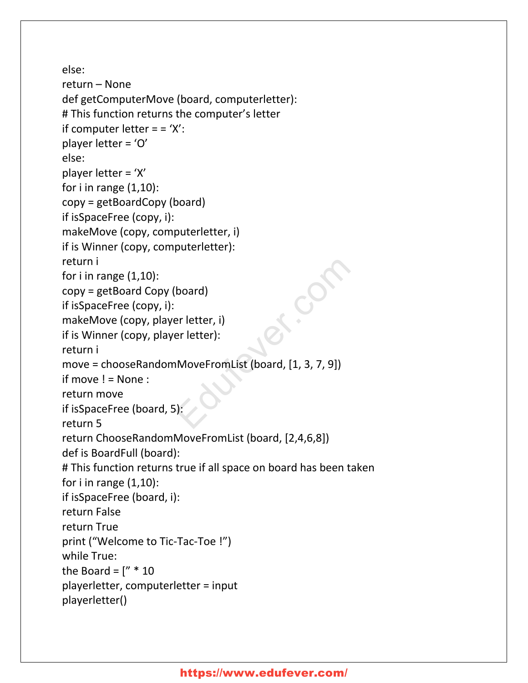```
else:
return – None
def getComputerMove (board, computerletter):
# This function returns the computer's letter
if computer letter = = 'X':
player letter = 'O'
else:
player letter = 'X'
for i in range (1,10):
copy = getBoardCopy (board)
if isSpaceFree (copy, i):
makeMove (copy, computerletter, i)
if is Winner (copy, computerletter):
return i
for i in range (1,10):
copy = getBoard Copy (board)
if isSpaceFree (copy, i):
makeMove (copy, player letter, i)
if is Winner (copy, player letter):
return i
move = chooseRandomMoveFromList (board, [1, 3, 7, 9])
if move != None :
return move
if isSpaceFree (board, 5):
return 5
return ChooseRandomMoveFromList (board, [2,4,6,8])
def is BoardFull (board):
# This function returns true if all space on board has been taken
for i in range (1,10):
if isSpaceFree (board, i):
return False
return True
print ("Welcome to Tic-Tac-Toe !")
while True:
the Board = \lceil" * 10
playerletter, computerletter = input
playerletter()
                         board)<br>
er letter, i)<br>
er letter):<br>
MoveFromList (board, [1, 3, 7, 9])<br>
.
```